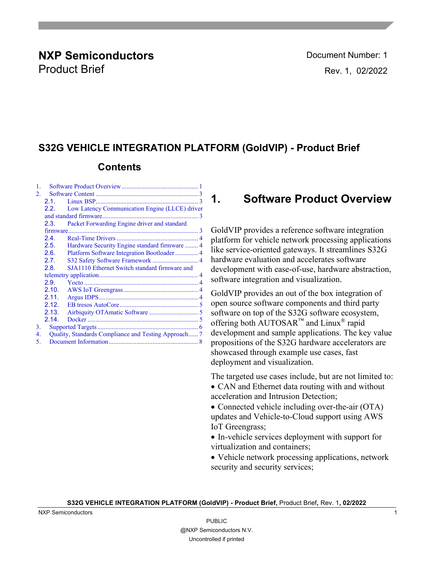### **NXP Semiconductors Document Number: 1** Product Brief **Rev. 1, 02/2022**

### **S32G VEHICLE INTEGRATION PLATFORM (GoldVIP) - Product Brief**

### **Contents**

| 1.                                                    |                                                      |                                                |  |  |  |
|-------------------------------------------------------|------------------------------------------------------|------------------------------------------------|--|--|--|
| 2.                                                    |                                                      |                                                |  |  |  |
|                                                       | 2.1.                                                 |                                                |  |  |  |
|                                                       | 2.2.                                                 | Low Latency Communication Engine (LLCE) driver |  |  |  |
|                                                       |                                                      |                                                |  |  |  |
|                                                       | Packet Forwarding Engine driver and standard<br>2.3. |                                                |  |  |  |
|                                                       |                                                      |                                                |  |  |  |
|                                                       | 2.4.                                                 |                                                |  |  |  |
|                                                       | 2.5.                                                 | Hardware Security Engine standard firmware  4  |  |  |  |
|                                                       | 2.6.                                                 |                                                |  |  |  |
|                                                       | 2.7.                                                 | S32 Safety Software Framework  4               |  |  |  |
| SJA1110 Ethernet Switch standard firmware and<br>2.8. |                                                      |                                                |  |  |  |
|                                                       |                                                      |                                                |  |  |  |
|                                                       | 2.9.                                                 |                                                |  |  |  |
|                                                       | 2.10.                                                |                                                |  |  |  |
|                                                       | 2.11.                                                |                                                |  |  |  |
|                                                       | 2.12.                                                |                                                |  |  |  |
|                                                       | 2.13.                                                |                                                |  |  |  |
|                                                       | 2.14.                                                |                                                |  |  |  |
| 3.                                                    |                                                      |                                                |  |  |  |
| 4.                                                    | Quality, Standards Compliance and Testing Approach 7 |                                                |  |  |  |
| 5.                                                    |                                                      |                                                |  |  |  |

### <span id="page-0-0"></span>**1. Software Product Overview**

GoldVIP provides a reference software integration platform for vehicle network processing applications like service-oriented gateways. It streamlines S32G hardware evaluation and accelerates software development with ease-of-use, hardware abstraction, software integration and visualization.

GoldVIP provides an out of the box integration of open source software components and third party software on top of the S32G software ecosystem, offering both AUTOSAR™ and Linux® rapid development and sample applications. The key value propositions of the S32G hardware accelerators are showcased through example use cases, fast deployment and visualization.

The targeted use cases include, but are not limited to: • CAN and Ethernet data routing with and without acceleration and Intrusion Detection;

• Connected vehicle including over-the-air (OTA) updates and Vehicle-to-Cloud support using AWS IoT Greengrass;

• In-vehicle services deployment with support for virtualization and containers;

• Vehicle network processing applications, network security and security services;

#### **S32G VEHICLE INTEGRATION PLATFORM (GoldVIP) - Product Brief,** Product Brief**,** Rev. 1**, 02/2022**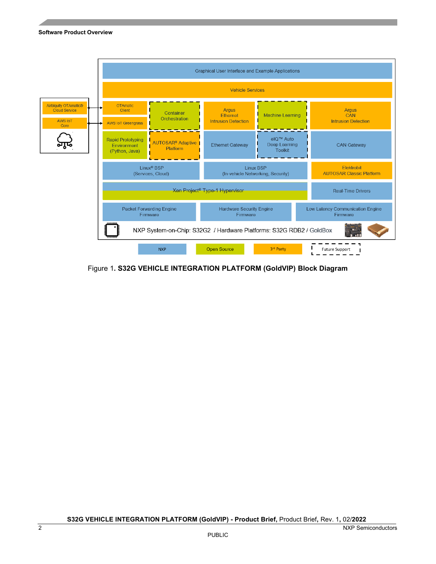

Figure 1**. S32G VEHICLE INTEGRATION PLATFORM (GoldVIP) Block Diagram**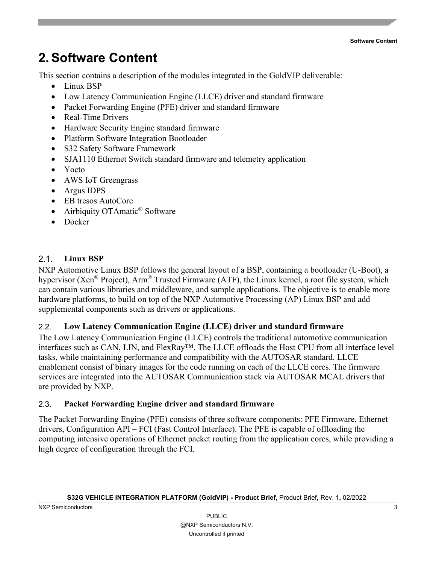## <span id="page-2-0"></span>**2. Software Content**

This section contains a description of the modules integrated in the GoldVIP deliverable:

- Linux BSP
- Low Latency Communication Engine (LLCE) driver and standard firmware
- Packet Forwarding Engine (PFE) driver and standard firmware
- Real-Time Drivers
- Hardware Security Engine standard firmware
- Platform Software Integration Bootloader
- S32 Safety Software Framework
- SJA1110 Ethernet Switch standard firmware and telemetry application
- Yocto
- AWS IoT Greengrass
- Argus IDPS
- EB tresos AutoCore
- Airbiquity OTAmatic<sup>®</sup> Software
- Docker

### <span id="page-2-1"></span>2.1. **Linux BSP**

NXP Automotive Linux BSP follows the general layout of a BSP, containing a bootloader (U-Boot), a hypervisor (Xen<sup>®</sup> Project), Arm<sup>®</sup> Trusted Firmware (ATF), the Linux kernel, a root file system, which can contain various libraries and middleware, and sample applications. The objective is to enable more hardware platforms, to build on top of the NXP Automotive Processing (AP) Linux BSP and add supplemental components such as drivers or applications.

#### <span id="page-2-2"></span>2.2. **Low Latency Communication Engine (LLCE) driver and standard firmware**

The Low Latency Communication Engine (LLCE) controls the traditional automotive communication interfaces such as CAN, LIN, and FlexRay™. The LLCE offloads the Host CPU from all interface level tasks, while maintaining performance and compatibility with the AUTOSAR standard. LLCE enablement consist of binary images for the code running on each of the LLCE cores. The firmware services are integrated into the AUTOSAR Communication stack via AUTOSAR MCAL drivers that are provided by NXP.

#### <span id="page-2-3"></span>2.3. **Packet Forwarding Engine driver and standard firmware**

The Packet Forwarding Engine (PFE) consists of three software components: PFE Firmware, Ethernet drivers, Configuration API – FCI (Fast Control Interface). The PFE is capable of offloading the computing intensive operations of Ethernet packet routing from the application cores, while providing a high degree of configuration through the FCI.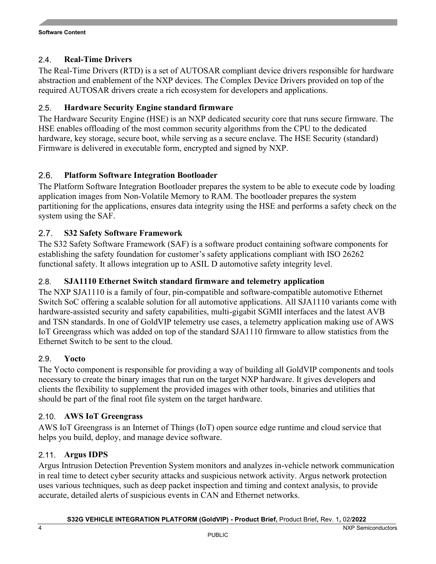#### <span id="page-3-0"></span>2.4. **Real-Time Drivers**

The Real-Time Drivers (RTD) is a set of AUTOSAR compliant device drivers responsible for hardware abstraction and enablement of the NXP devices. The Complex Device Drivers provided on top of the required AUTOSAR drivers create a rich ecosystem for developers and applications.

#### <span id="page-3-1"></span>2.5. **Hardware Security Engine standard firmware**

The Hardware Security Engine (HSE) is an NXP dedicated security core that runs secure firmware. The HSE enables offloading of the most common security algorithms from the CPU to the dedicated hardware, key storage, secure boot, while serving as a secure enclave. The HSE Security (standard) Firmware is delivered in executable form, encrypted and signed by NXP.

#### <span id="page-3-2"></span>2.6. **Platform Software Integration Bootloader**

The Platform Software Integration Bootloader prepares the system to be able to execute code by loading application images from Non-Volatile Memory to RAM. The bootloader prepares the system partitioning for the applications, ensures data integrity using the HSE and performs a safety check on the system using the SAF.

#### <span id="page-3-3"></span>2.7. **S32 Safety Software Framework**

The S32 Safety Software Framework (SAF) is a software product containing software components for establishing the safety foundation for customer's safety applications compliant with ISO 26262 functional safety. It allows integration up to ASIL D automotive safety integrity level.

#### <span id="page-3-4"></span>2.8. **SJA1110 Ethernet Switch standard firmware and telemetry application**

The NXP SJA1110 is a family of four, pin-compatible and software-compatible automotive Ethernet Switch SoC offering a scalable solution for all automotive applications. All SJA1110 variants come with hardware-assisted security and safety capabilities, multi-gigabit SGMII interfaces and the latest AVB and TSN standards. In one of GoldVIP telemetry use cases, a telemetry application making use of AWS IoT Greengrass which was added on top of the standard SJA1110 firmware to allow statistics from the Ethernet Switch to be sent to the cloud.

#### <span id="page-3-5"></span>2.9. **Yocto**

The Yocto component is responsible for providing a way of building all GoldVIP components and tools necessary to create the binary images that run on the target NXP hardware. It gives developers and clients the flexibility to supplement the provided images with other tools, binaries and utilities that should be part of the final root file system on the target hardware.

#### <span id="page-3-6"></span>2.10. **AWS IoT Greengrass**

AWS IoT Greengrass is an Internet of Things (IoT) open source edge runtime and cloud service that helps you build, deploy, and manage device software.

#### <span id="page-3-7"></span>2.11. **Argus IDPS**

Argus Intrusion Detection Prevention System monitors and analyzes in-vehicle network communication in real time to detect cyber security attacks and suspicious network activity. Argus network protection uses various techniques, such as deep packet inspection and timing and context analysis, to provide accurate, detailed alerts of suspicious events in CAN and Ethernet networks.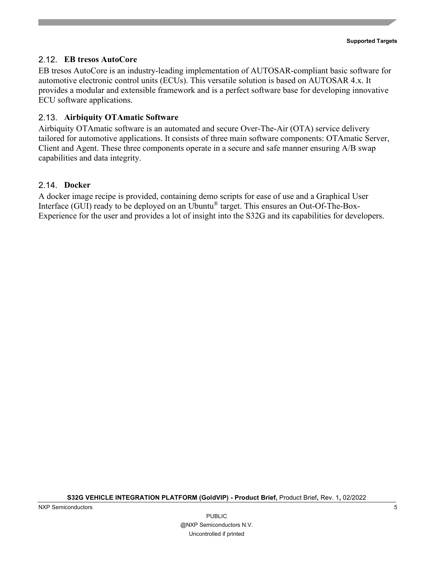#### <span id="page-4-0"></span>2.12. **EB tresos AutoCore**

EB tresos AutoCore is an industry-leading implementation of AUTOSAR-compliant basic software for automotive electronic control units (ECUs). This versatile solution is based on AUTOSAR 4.x. It provides a modular and extensible framework and is a perfect software base for developing innovative ECU software applications.

#### <span id="page-4-1"></span>2.13. **Airbiquity OTAmatic Software**

Airbiquity OTAmatic software is an automated and secure Over-The-Air (OTA) service delivery tailored for automotive applications. It consists of three main software components: OTAmatic Server, Client and Agent. These three components operate in a secure and safe manner ensuring A/B swap capabilities and data integrity.

#### <span id="page-4-2"></span>2.14. **Docker**

A docker image recipe is provided, containing demo scripts for ease of use and a Graphical User Interface (GUI) ready to be deployed on an Ubuntu® target. This ensures an Out-Of-The-Box-Experience for the user and provides a lot of insight into the S32G and its capabilities for developers.

**S32G VEHICLE INTEGRATION PLATFORM (GoldVIP) - Product Brief,** Product Brief**,** Rev. 1**,** 02/2022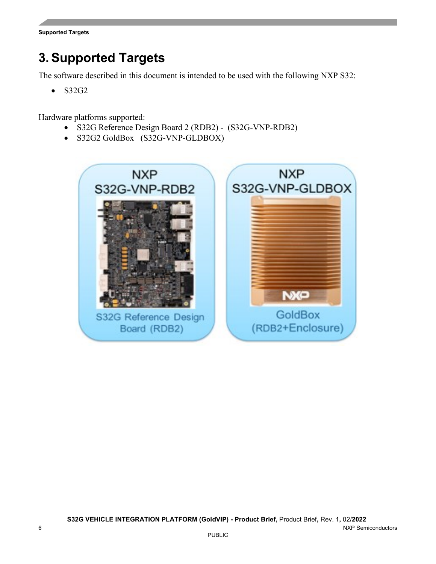## <span id="page-5-0"></span>**3. Supported Targets**

The software described in this document is intended to be used with the following NXP S32:

• S32G2

Hardware platforms supported:

- S32G Reference Design Board 2 (RDB2) (S32G-VNP-RDB2)
- S32G2 GoldBox (S32G-VNP-GLDBOX)

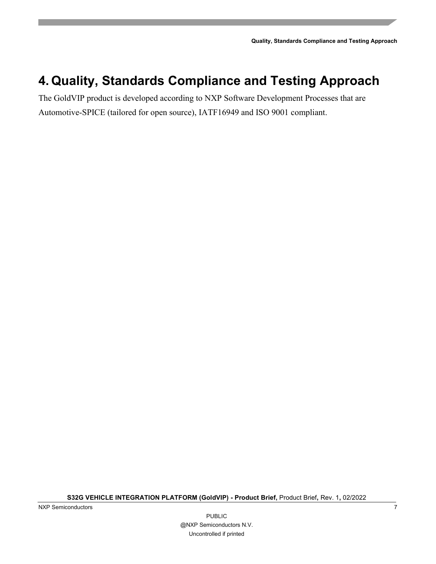**Quality, Standards Compliance and Testing Approach**

## <span id="page-6-0"></span>**4. Quality, Standards Compliance and Testing Approach**

The GoldVIP product is developed according to NXP Software Development Processes that are Automotive-SPICE (tailored for open source), IATF16949 and ISO 9001 compliant.

**S32G VEHICLE INTEGRATION PLATFORM (GoldVIP) - Product Brief,** Product Brief**,** Rev. 1**,** 02/2022

NXP Semiconductors 7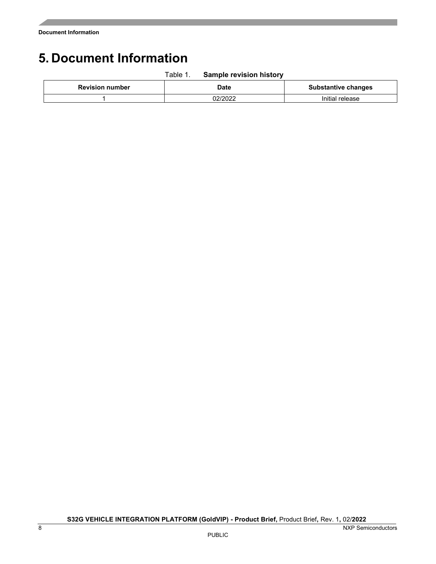# <span id="page-7-0"></span>**5. Document Information**

|                        | Table 1. | <b>Sample revision history</b> |                            |
|------------------------|----------|--------------------------------|----------------------------|
| <b>Revision number</b> |          | Date                           | <b>Substantive changes</b> |
|                        |          | 02/2022                        | Initial release            |

**S32G VEHICLE INTEGRATION PLATFORM (GoldVIP) - Product Brief,** Product Brief**,** Rev. 1**,** 02/**2022**